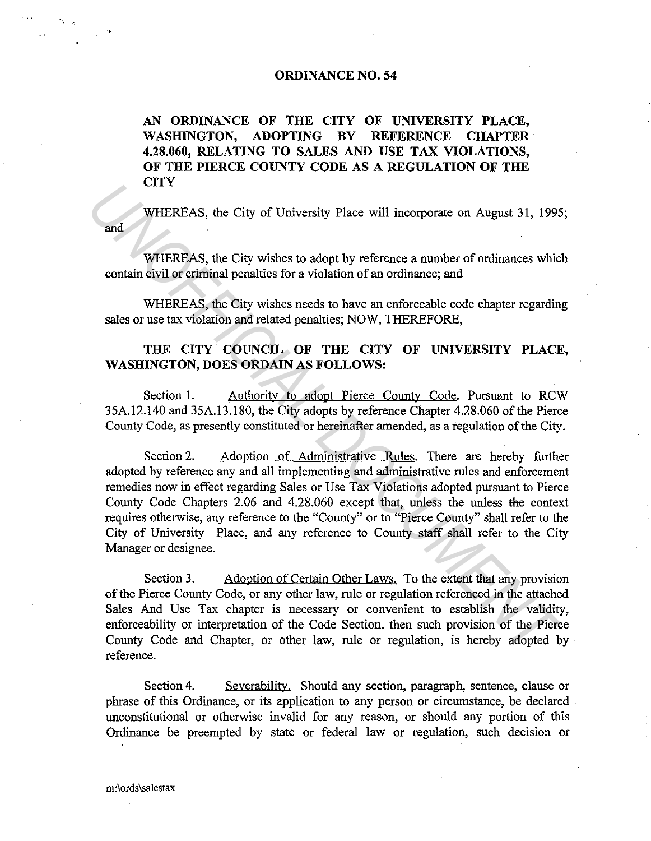## **ORDINANCE NO. 54**

**AN ORDINANCE OF THE CITY OF UNIVERSITY PLACE, WASHINGTON, ADOPTING BY REFERENCE CHAPTER 4.28.060, RELATING TO SALES AND USE TAX VIOLATIONS, OF THE PIERCE COUNTY CODE** AS A **REGULATION OF THE CITY** 

and WHEREAS, the City of University Place will incorporate on August 31, 1995;

WHEREAS, the City wishes to adopt by reference a number of ordinances which contain civil or criminal penalties for a violation of an ordinance; and

WHEREAS, the City wishes needs to have an enforceable code chapter regarding sales or use tax violation and related penalties; NOW, THEREFORE,

## **THE CITY COUNCIL OF THE CITY OF UNIVERSITY PLACE, WASHINGTON, DOES ORDAIN AS FOLLOWS:**

Section 1. Authority to adopt Pierce County Code. Pursuant to RCW 35A.12.140 and 35A.13.180, the City adopts by reference Chapter 4.28.060 of the Pierce County Code, as presently constituted or hereinafter amended, as a regulation of the City.

Section 2. Adoption of Administrative Rules. There are hereby further adopted by reference any and all implementing and administrative rules and enforcement remedies now in effect regarding Sales or Use Tax Violations adopted pursuant to Pierce County Code Chapters 2.06 and 4.28.060 except that, unless the unless the context requires otherwise, any reference to the "County" or to "Pierce County" shall refer to the City of University Place, and any reference to County staff shall refer to the City Manager or designee. **WHEREAS**, the City of University Place will incorporate on August 31, 1995<br> **WHEREAS**, the City wishes to adopt by reference a number of ordinances whic<br>
contain civil or criminal penalties for a violation of an ordinance

Section 3. Adoption of Certain Other Laws. To the extent that any provision of the Pierce County Code, or any other law, rule or regulation referenced in the attached Sales And Use Tax chapter is necessary or convenient to establish the validity, enforceability or interpretation of the Code Section, then such provision of the Pierce County Code and Chapter, or other law, rule or regulation, is hereby adopted by · reference.

Section 4. Severability. Should any section, paragraph, sentence, clause or phrase of this Ordinance, or its application to any person or circumstance, be declared unconstitutional or otherwise invalid for any reason, or should any portion of this Ordinance be preempted by state or federal law or regulation, such decision or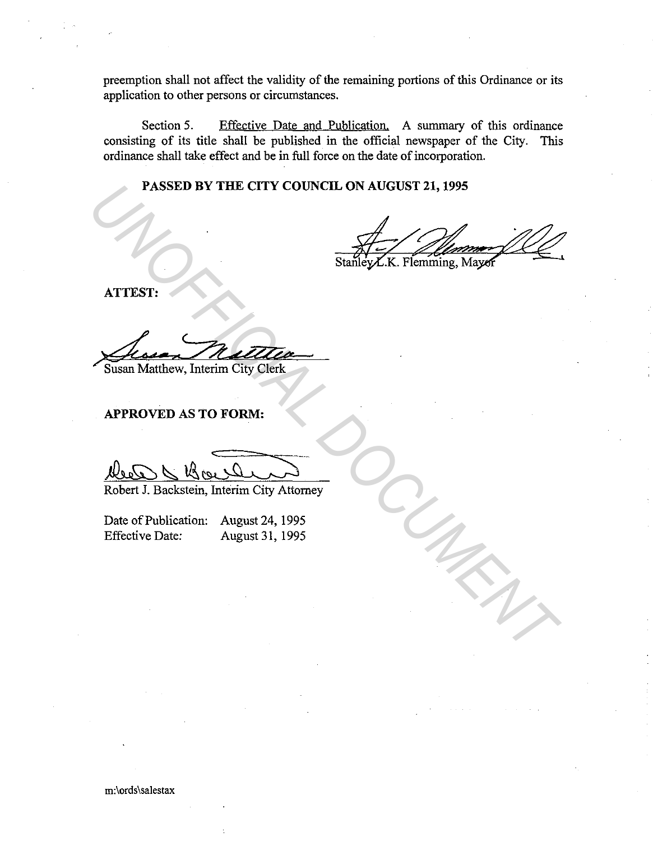preemption shall not affect the validity of the remaining portions of this Ordinance or its application to other persons or circumstances.

Section 5. Effective Date and Publication. A summary of this ordinance consisting of its title shall be published in the official newspaper of the City. This ordinance shall take effect and be in full force on the date of incorporation.

**PASSED BY THE CITY COUNCIL ON AUGUST 21, 1995** 

**PASSED BY THE CITY COUNCIL ON AUGUST 21, 1995**<br>
SURFACE TO SURFACE THE SURFACE TO SURFACE THE SURFACE TO SURFACE THE SURFACE TO SURFACE THE SURFACE TO PUBLIC APPROVED AS TO FORM:<br>
APPROVED AS TO FORM:<br>
Date of Publication

**ATTEST:** 

Susan Matthew, Interim City Clerk

**APPROVED AS TO FORM:** 

1000 x Boulever

Robert J. Backstein, Interim City Attorney

Date of Publication: August 24, 1995 Effective Date: August 31, 1995

m:\ords\salestax